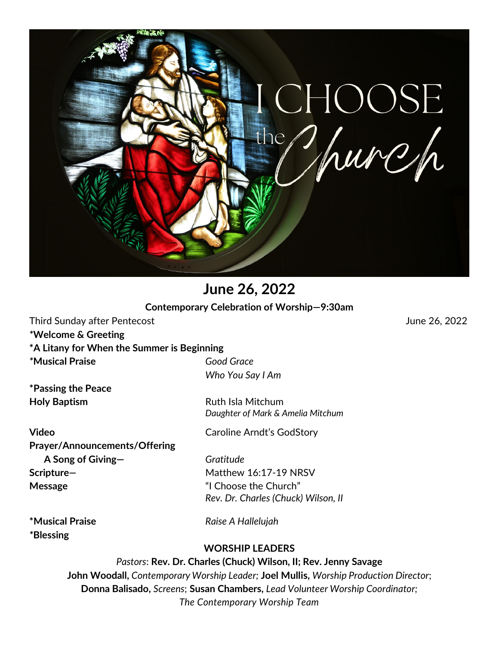

**June 26, 2022 Contemporary Celebration of Worship—9:30am**

Third Sunday after Pentecost June 26, 2022

*\****Welcome & Greeting**

**\*A Litany for When the Summer is Beginning** 

*\****Musical Praise** *Good Grace*

**\*Passing the Peace Holy Baptism Ruth Isla Mitchum** 

**Video** Caroline Arndt's GodStory **Prayer/Announcements/Offering** **A Song of Giving—** *Gratitude* **Scripture**—*A* **Matthew 16:17-19 NRSV Message** "I Choose the Church"

*Who You Say I Am*

*Daughter of Mark & Amelia Mitchum*

*Rev. Dr. Charles (Chuck) Wilson, II*

*\****Blessing**

**\*Musical Praise** *Raise A Hallelujah*

# **WORSHIP LEADERS**

*Pastors*: **Rev. Dr. Charles (Chuck) Wilson, II; Rev. Jenny Savage John Woodall,** *Contemporary Worship Leader;* **Joel Mullis,** *Worship Production Director*; **Donna Balisado,** *Screens*; **Susan Chambers,** *Lead Volunteer Worship Coordinator; The Contemporary Worship Team*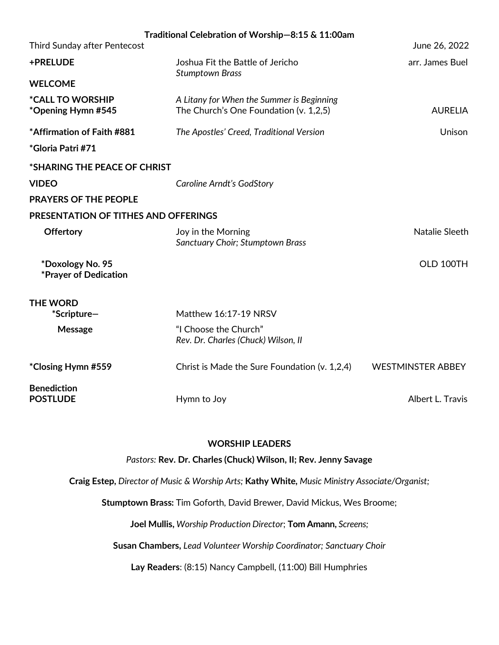| Traditional Celebration of Worship-8:15 & 11:00am    |                                                                                     |                          |
|------------------------------------------------------|-------------------------------------------------------------------------------------|--------------------------|
| Third Sunday after Pentecost                         |                                                                                     | June 26, 2022            |
| +PRELUDE                                             | Joshua Fit the Battle of Jericho<br><b>Stumptown Brass</b>                          | arr. James Buel          |
| <b>WELCOME</b>                                       |                                                                                     |                          |
| <i><b>*CALL TO WORSHIP</b></i><br>*Opening Hymn #545 | A Litany for When the Summer is Beginning<br>The Church's One Foundation (v. 1,2,5) | <b>AURELIA</b>           |
| *Affirmation of Faith #881                           | The Apostles' Creed, Traditional Version                                            | Unison                   |
| *Gloria Patri #71                                    |                                                                                     |                          |
| *SHARING THE PEACE OF CHRIST                         |                                                                                     |                          |
| <b>VIDEO</b>                                         | Caroline Arndt's GodStory                                                           |                          |
| <b>PRAYERS OF THE PEOPLE</b>                         |                                                                                     |                          |
| <b>PRESENTATION OF TITHES AND OFFERINGS</b>          |                                                                                     |                          |
| <b>Offertory</b>                                     | Joy in the Morning<br><b>Sanctuary Choir; Stumptown Brass</b>                       | Natalie Sleeth           |
| *Doxology No. 95<br>*Prayer of Dedication            |                                                                                     | OLD 100TH                |
| <b>THE WORD</b>                                      |                                                                                     |                          |
| *Scripture-                                          | Matthew 16:17-19 NRSV                                                               |                          |
| Message                                              | "I Choose the Church"<br>Rev. Dr. Charles (Chuck) Wilson, II                        |                          |
| *Closing Hymn #559                                   | Christ is Made the Sure Foundation (v. 1,2,4)                                       | <b>WESTMINSTER ABBEY</b> |
| <b>Benediction</b><br><b>POSTLUDE</b>                | Hymn to Joy                                                                         | Albert L. Travis         |

### **WORSHIP LEADERS**

*Pastors:* **Rev. Dr. Charles (Chuck) Wilson, II; Rev. Jenny Savage**

**Craig Estep,** *Director of Music & Worship Arts;* **Kathy White,** *Music Ministry Associate/Organist;* 

**Stumptown Brass:** Tim Goforth, David Brewer, David Mickus, Wes Broome;

**Joel Mullis,** *Worship Production Director*; **Tom Amann,** *Screens;* 

**Susan Chambers,** *Lead Volunteer Worship Coordinator; Sanctuary Choir*

**Lay Readers**: (8:15) Nancy Campbell, (11:00) Bill Humphries